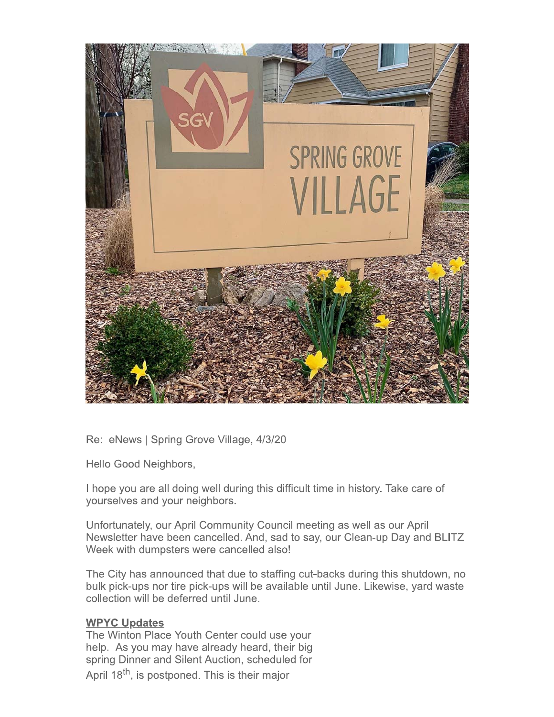

Re: eNews | Spring Grove Village, 4/3/20

Hello Good Neighbors,

I hope you are all doing well during this difficult time in history. Take care of yourselves and your neighbors.

Unfortunately, our April Community Council meeting as well as our April Newsletter have been cancelled. And, sad to say, our Clean-up Day and BLITZ Week with dumpsters were cancelled also!

The City has announced that due to staffing cut-backs during this shutdown, no bulk pick-ups nor tire pick-ups will be available until June. Likewise, yard waste collection will be deferred until June.

# **WPYC Updates**

The Winton Place Youth Center could use your help. As you may have already heard, their big spring Dinner and Silent Auction, scheduled for April 18<sup>th</sup>, is postponed. This is their major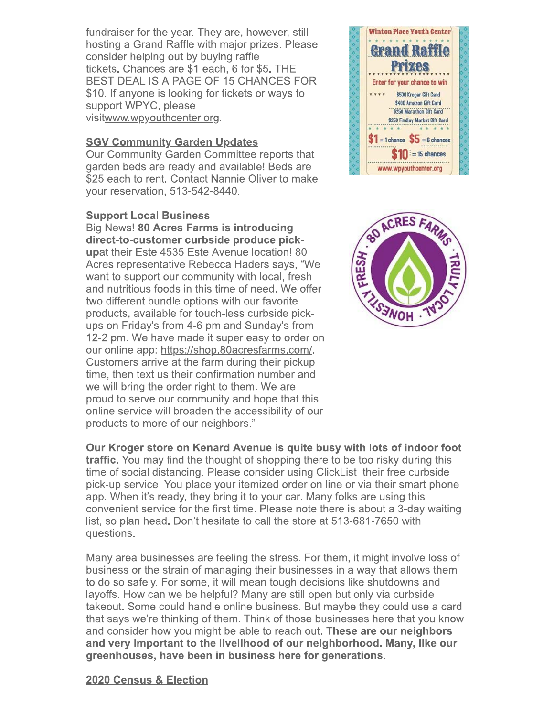fundraiser for the year. They are, however, still hosting a Grand Raffle with major prizes. Please consider helping out by buying raffle tickets. Chances are \$1 each, 6 for \$5. THE BEST DEAL IS A PAGE OF 15 CHANCES FOR \$10. If anyone is looking for tickets or ways to support WPYC, please visitwww.wpyouthcenter.org.

# **SGV Community Garden Updates**

Our Community Garden Committee reports that garden beds are ready and available! Beds are \$25 each to rent. Contact Nannie Oliver to make your reservation, 513-542-8440.

## **Support Local Business**

Big News! 80 Acres Farms is introducing direct-to-customer curbside produce pickupat their Este 4535 Este Avenue location! 80 Acres representative Rebecca Haders says, "We want to support our community with local, fresh and nutritious foods in this time of need. We offer two different bundle options with our favorite products, available for touch-less curbside pickups on Friday's from 4-6 pm and Sunday's from 12-2 pm. We have made it super easy to order on our online app: https://shop.80acresfarms.com/. Customers arrive at the farm during their pickup time, then text us their confirmation number and we will bring the order right to them. We are proud to serve our community and hope that this online service will broaden the accessibility of our products to more of our neighbors."





Our Kroger store on Kenard Avenue is quite busy with lots of indoor foot **traffic.** You may find the thought of shopping there to be too risky during this time of social distancing. Please consider using ClickList–their free curbside pick-up service. You place your itemized order on line or via their smart phone app. When it's ready, they bring it to your car. Many folks are using this convenient service for the first time. Please note there is about a 3-day waiting list, so plan head. Don't hesitate to call the store at 513-681-7650 with questions.

Many area businesses are feeling the stress. For them, it might involve loss of business or the strain of managing their businesses in a way that allows them to do so safely. For some, it will mean tough decisions like shutdowns and layoffs. How can we be helpful? Many are still open but only via curbside takeout. Some could handle online business. But maybe they could use a card that says we're thinking of them. Think of those businesses here that you know and consider how you might be able to reach out. These are our neighbors and very important to the livelihood of our neighborhood. Many, like our greenhouses, have been in business here for generations.

## 2020 Census & Election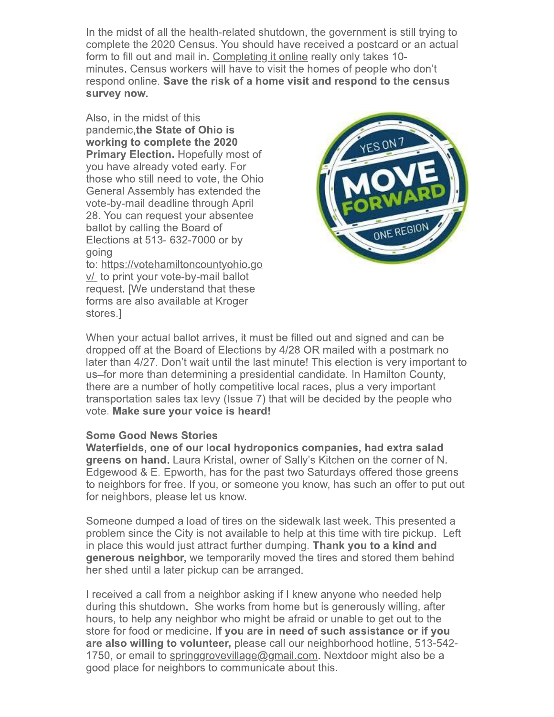In the midst of all the health-related shutdown, the government is still trying to complete the 2020 Census. You should have received a postcard or an actual form to fill out and mail in. Completing it online really only takes 10minutes. Census workers will have to visit the homes of people who don't respond online. Save the risk of a home visit and respond to the census survey now.

Also, in the midst of this pandemic, the State of Ohio is working to complete the 2020 **Primary Election. Hopefully most of** you have already voted early. For those who still need to vote, the Ohio General Assembly has extended the vote-by-mail deadline through April 28. You can request your absentee ballot by calling the Board of Elections at 513- 632-7000 or by going

to: https://votehamiltoncountyohio.go v/ to print your vote-by-mail ballot request. [We understand that these forms are also available at Kroger stores.]



When your actual ballot arrives, it must be filled out and signed and can be dropped off at the Board of Elections by 4/28 OR mailed with a postmark no later than 4/27. Don't wait until the last minute! This election is very important to us-for more than determining a presidential candidate. In Hamilton County, there are a number of hotly competitive local races, plus a very important transportation sales tax levy (Issue 7) that will be decided by the people who vote. Make sure your voice is heard!

## **Some Good News Stories**

Waterfields, one of our local hydroponics companies, had extra salad greens on hand. Laura Kristal, owner of Sally's Kitchen on the corner of N. Edgewood & E. Epworth, has for the past two Saturdays offered those greens to neighbors for free. If you, or someone you know, has such an offer to put out for neighbors, please let us know.

Someone dumped a load of tires on the sidewalk last week. This presented a problem since the City is not available to help at this time with tire pickup. Left in place this would just attract further dumping. Thank you to a kind and generous neighbor, we temporarily moved the tires and stored them behind her shed until a later pickup can be arranged.

I received a call from a neighbor asking if I knew anyone who needed help during this shutdown. She works from home but is generously willing, after hours, to help any neighbor who might be afraid or unable to get out to the store for food or medicine. If you are in need of such assistance or if you are also willing to volunteer, please call our neighborhood hotline, 513-542-1750, or email to springgrovevillage@gmail.com. Nextdoor might also be a good place for neighbors to communicate about this.